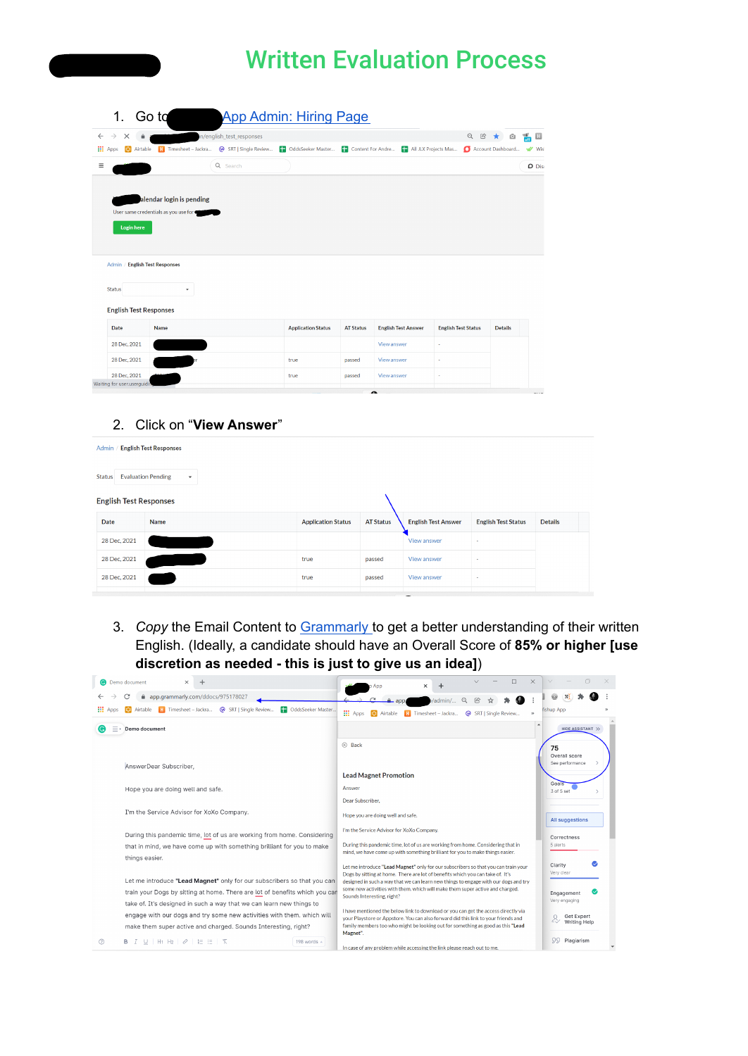## Written Evaluation Process

| 1.                                             | Go ta                                |                           | <b>App Admin: Hiring Page</b>                                           |                  |                            |                            |                   |               |
|------------------------------------------------|--------------------------------------|---------------------------|-------------------------------------------------------------------------|------------------|----------------------------|----------------------------|-------------------|---------------|
| $\rightarrow$<br>$\leftarrow$<br>$\times$<br>⋒ |                                      | in/english_test_responses |                                                                         |                  |                            | $Q \quad \text{if} \quad$  | û<br>*            | 霝<br>圓        |
| <b>III</b> Apps<br>Airtable<br>$\epsilon_{3}$  |                                      |                           | OddsSeeker Master <b>The Content For Andre</b> The All JLX Projects Mas |                  |                            |                            | Account Dashboard | W Wisl        |
| Ξ                                              |                                      | Q Search                  |                                                                         |                  |                            |                            |                   | <b>D</b> Disc |
|                                                | alendar login is pending             |                           |                                                                         |                  |                            |                            |                   |               |
|                                                | User same credentials as you use for |                           |                                                                         |                  |                            |                            |                   |               |
| <b>Login here</b>                              |                                      |                           |                                                                         |                  |                            |                            |                   |               |
|                                                |                                      |                           |                                                                         |                  |                            |                            |                   |               |
|                                                |                                      |                           |                                                                         |                  |                            |                            |                   |               |
| Admin / English Test Responses                 |                                      |                           |                                                                         |                  |                            |                            |                   |               |
|                                                |                                      |                           |                                                                         |                  |                            |                            |                   |               |
| <b>Status</b>                                  | $\check{\phantom{a}}$                |                           |                                                                         |                  |                            |                            |                   |               |
|                                                |                                      |                           |                                                                         |                  |                            |                            |                   |               |
| <b>English Test Responses</b>                  |                                      |                           |                                                                         |                  |                            |                            |                   |               |
| Date                                           | Name                                 |                           | <b>Application Status</b>                                               | <b>AT Status</b> | <b>English Test Answer</b> | <b>English Test Status</b> | <b>Details</b>    |               |
| 28 Dec, 2021                                   |                                      |                           |                                                                         |                  | View answer                | ×                          |                   |               |
| 28 Dec, 2021                                   |                                      |                           | true                                                                    | passed           | View answer                |                            |                   |               |
| 28 Dec. 2021                                   |                                      |                           | true                                                                    | passed           | View answer                | ×                          |                   |               |
| Waiting for user.userguidil                    |                                      |                           |                                                                         |                  |                            |                            |                   |               |

#### 2. Click on "**View Answer**"

| Admin /                       | <b>English Test Responses</b>             |                           |                  |                            |                            |                |
|-------------------------------|-------------------------------------------|---------------------------|------------------|----------------------------|----------------------------|----------------|
| <b>Status</b>                 | <b>Evaluation Pending</b><br>$\mathbf{v}$ |                           |                  |                            |                            |                |
| <b>English Test Responses</b> |                                           |                           |                  |                            |                            |                |
| Date                          | Name                                      | <b>Application Status</b> | <b>AT Status</b> | <b>English Test Answer</b> | <b>English Test Status</b> | <b>Details</b> |
| 28 Dec. 2021                  |                                           |                           |                  | View answer                | $\sim$                     |                |
| 28 Dec, 2021                  |                                           | true                      | passed           | View answer                | ٠                          |                |
| 28 Dec, 2021                  |                                           | true                      | passed           | View answer                | $\overline{\phantom{a}}$   |                |

3. *Copy* the Email Content to [Grammarly](https://app.grammarly.com/) to get a better understanding of their written English. (Ideally, a candidate should have an Overall Score of **85% or higher [use discretion as needed - this is just to give us an idea]**)

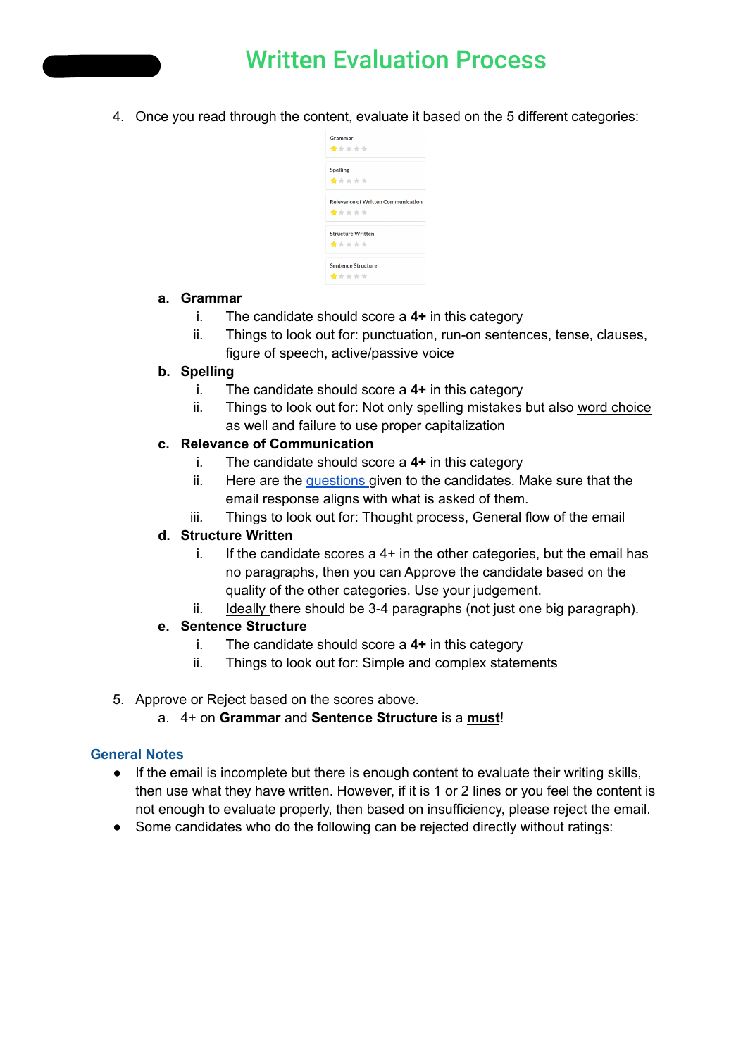

## Written Evaluation Process

4. Once you read through the content, evaluate it based on the 5 different categories:

| Grammar<br>*****                                   |
|----------------------------------------------------|
| <b>Spelling</b><br>*****                           |
| <b>Relevance of Written Communication</b><br>***** |
| <b>Structure Written</b><br>*****                  |
| <b>Sentence Structure</b><br>*****                 |

#### **a. Grammar**

- i. The candidate should score a **4+** in this category
- ii. Things to look out for: punctuation, run-on sentences, tense, clauses, figure of speech, active/passive voice

#### **b. Spelling**

- i. The candidate should score a **4+** in this category
- ii. Things to look out for: Not only spelling mistakes but also word choice as well and failure to use proper capitalization

#### **c. Relevance of Communication**

- i. The candidate should score a **4+** in this category
- ii. Here are the [questions](https://drive.google.com/drive/u/2/folders/1O08JRGEb-3D-HUhBeX3SabjGUbt7L7NV) given to the candidates. Make sure that the email response aligns with what is asked of them.
- iii. Things to look out for: Thought process, General flow of the email

#### **d. Structure Written**

- i. If the candidate scores a  $4+$  in the other categories, but the email has no paragraphs, then you can Approve the candidate based on the quality of the other categories. Use your judgement.
- ii. Ideally there should be 3-4 paragraphs (not just one big paragraph).

#### **e. Sentence Structure**

- i. The candidate should score a **4+** in this category
- ii. Things to look out for: Simple and complex statements
- 5. Approve or Reject based on the scores above.
	- a. 4+ on **Grammar** and **Sentence Structure** is a **must**!

#### **General Notes**

- If the email is incomplete but there is enough content to evaluate their writing skills, then use what they have written. However, if it is 1 or 2 lines or you feel the content is not enough to evaluate properly, then based on insufficiency, please reject the email.
- Some candidates who do the following can be rejected directly without ratings: